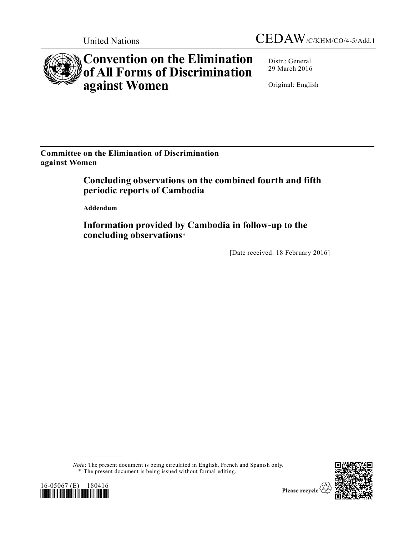



# **Convention on the Elimination of All Forms of Discrimination against Women**

Distr.: General 29 March 2016

Original: English

**Committee on the Elimination of Discrimination against Women** 

> **Concluding observations on the combined fourth and fifth periodic reports of Cambodia**

**Addendum**

**Information provided by Cambodia in follow-up to the concluding observations**\*

[Date received: 18 February 2016]

*Note*: The present document is being circulated in English, French and Spanish only.





<sup>\*</sup> The present document is being issued without formal editing.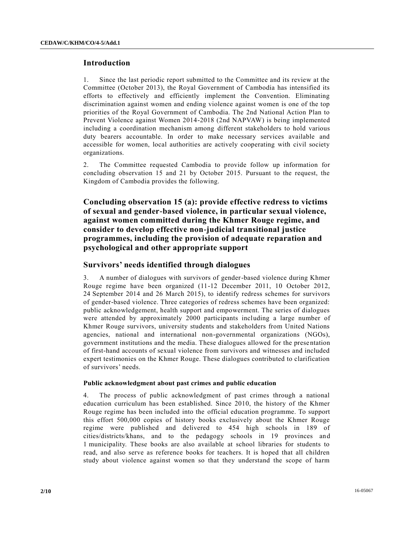## **Introduction**

1. Since the last periodic report submitted to the Committee and its review at the Committee (October 2013), the Royal Government of Cambodia has intensified its efforts to effectively and efficiently implement the Convention. Eliminating discrimination against women and ending violence against women is one of the top priorities of the Royal Government of Cambodia. The 2nd National Action Plan to Prevent Violence against Women 2014-2018 (2nd NAPVAW) is being implemented including a coordination mechanism among different stakeholders to hold various duty bearers accountable. In order to make necessary services available and accessible for women, local authorities are actively cooperating with civil society organizations.

2. The Committee requested Cambodia to provide follow up information for concluding observation 15 and 21 by October 2015. Pursuant to the request, the Kingdom of Cambodia provides the following.

**Concluding observation 15 (a): provide effective redress to victims of sexual and gender-based violence, in particular sexual violence, against women committed during the Khmer Rouge regime, and consider to develop effective non-judicial transitional justice programmes, including the provision of adequate reparation and psychological and other appropriate support** 

## **Survivors' needs identified through dialogues**

3. A number of dialogues with survivors of gender-based violence during Khmer Rouge regime have been organized (11-12 December 2011, 10 October 2012, 24 September 2014 and 26 March 2015), to identify redress schemes for survivors of gender-based violence. Three categories of redress schemes have been organized: public acknowledgement, health support and empowerment. The series of dialogues were attended by approximately 2000 participants including a large number of Khmer Rouge survivors, university students and stakeholders from United Nations agencies, national and international non-governmental organizations (NGOs), government institutions and the media. These dialogues allowed for the prese ntation of first-hand accounts of sexual violence from survivors and witnesses and included expert testimonies on the Khmer Rouge. These dialogues contributed to clarification of survivors' needs.

### **Public acknowledgment about past crimes and public education**

4. The process of public acknowledgment of past crimes through a national education curriculum has been established. Since 2010, the history of the Khmer Rouge regime has been included into the official education programme. To support this effort 500,000 copies of history books exclusively about the Khmer Rouge regime were published and delivered to 454 high schools in 189 of cities/districts/khans, and to the pedagogy schools in 19 provinces and 1 municipality. These books are also available at school libraries for students to read, and also serve as reference books for teachers. It is hoped that all children study about violence against women so that they understand the scope of harm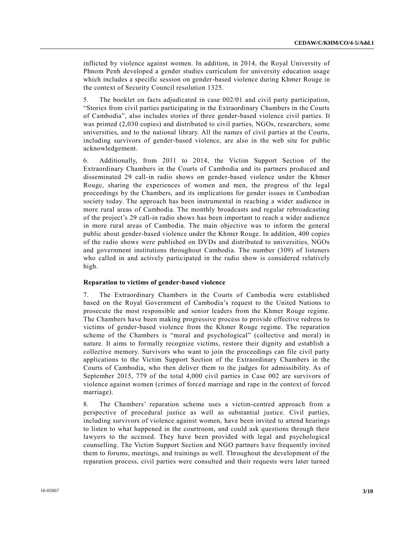inflicted by violence against women. In addition, in 2014, the Royal University of Phnom Penh developed a gender studies curriculum for university education usage which includes a specific session on gender-based violence during Khmer Rouge in the context of Security Council resolution 1325.

5. The booklet on facts adjudicated in case 002/01 and civil party participation, "Stories from civil parties participating in the Extraordinary Chambers in the Courts of Cambodia", also includes stories of three gender-based violence civil parties. It was printed (2,030 copies) and distributed to civil parties, NGOs, researchers, some universities, and to the national library. All the names of civil parties at the Courts, including survivors of gender-based violence, are also in the web site for public acknowledgement.

6. Additionally, from 2011 to 2014, the Victim Support Section of the Extraordinary Chambers in the Courts of Cambodia and its partners produced and disseminated 29 call-in radio shows on gender-based violence under the Khmer Rouge, sharing the experiences of women and men, the progress of the legal proceedings by the Chambers, and its implications for gender issues in Cambodian society today. The approach has been instrumental in reaching a wider audience in more rural areas of Cambodia. The monthly broadcasts and regular rebroadcasting of the project's 29 call-in radio shows has been important to reach a wider audience in more rural areas of Cambodia. The main objective was to inform the general public about gender-based violence under the Khmer Rouge. In addition, 400 copies of the radio shows were published on DVDs and distributed to universities, NGOs and government institutions throughout Cambodia. The number (309) of listeners who called in and actively participated in the radio show is considered relatively high.

#### **Reparation to victims of gender-based violence**

7. The Extraordinary Chambers in the Courts of Cambodia were established based on the Royal Government of Cambodia's request to the United Nations to prosecute the most responsible and senior leaders from the Khmer Rouge regime. The Chambers have been making progressive process to provide effective redress to victims of gender-based violence from the Khmer Rouge regime. The reparation scheme of the Chambers is "moral and psychological" (collective and moral) in nature. It aims to formally recognize victims, restore their dignity and establish a collective memory. Survivors who want to join the proceedings can file civil party applications to the Victim Support Section of the Extraordinary Chambers in the Courts of Cambodia, who then deliver them to the judges for admissibility. As of September 2015, 779 of the total 4,000 civil parties in Case 002 are survivors of violence against women (crimes of forced marriage and rape in the context of forced marriage).

8. The Chambers' reparation scheme uses a victim-centred approach from a perspective of procedural justice as well as substantial justice. Civil parties, including survivors of violence against women, have been invited to attend hearings to listen to what happened in the courtroom, and could ask questions through their lawyers to the accused. They have been provided with legal and psychological counselling. The Victim Support Section and NGO partners have frequently invited them to forums, meetings, and trainings as well. Throughout the development of the reparation process, civil parties were consulted and their requests were later turned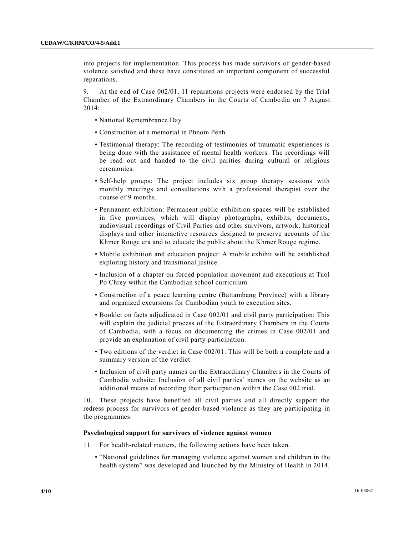into projects for implementation. This process has made survivors of gender-based violence satisfied and these have constituted an important component of successful reparations.

9. At the end of Case 002/01, 11 reparations projects were endorsed by the Trial Chamber of the Extraordinary Chambers in the Courts of Cambodia on 7 August 2014:

- National Remembrance Day.
- Construction of a memorial in Phnom Penh.
- Testimonial therapy: The recording of testimonies of traumatic experiences is being done with the assistance of mental health workers. The recordings will be read out and handed to the civil parities during cultural or religious ceremonies.
- Self-help groups: The project includes six group therapy sessions with monthly meetings and consultations with a professional therapist over the course of 9 months.
- Permanent exhibition: Permanent public exhibition spaces will be established in five provinces, which will display photographs, exhibits, documents, audiovisual recordings of Civil Parties and other survivors, artwork, historical displays and other interactive resources designed to preserve accounts of the Khmer Rouge era and to educate the public about the Khmer Rouge regime.
- Mobile exhibition and education project: A mobile exhibit will be established exploring history and transitional justice.
- Inclusion of a chapter on forced population movement and executions at Tuol Po Chrey within the Cambodian school curriculum.
- Construction of a peace learning centre (Battambang Province) with a library and organized excursions for Cambodian youth to execution sites.
- Booklet on facts adjudicated in Case 002/01 and civil party participation: This will explain the judicial process of the Extraordinary Chambers in the Courts of Cambodia, with a focus on documenting the crimes in Case 002/01 and provide an explanation of civil party participation.
- Two editions of the verdict in Case 002/01: This will be both a complete and a summary version of the verdict.
- Inclusion of civil party names on the Extraordinary Chambers in the Courts of Cambodia website: Inclusion of all civil parties' names on the website as an additional means of recording their participation within the Case 002 trial.

10. These projects have benefited all civil parties and all directly support the redress process for survivors of gender-based violence as they are participating in the programmes.

#### **Psychological support for survivors of violence against women**

- 11. For health-related matters, the following actions have been taken.
	- "National guidelines for managing violence against women and children in the health system" was developed and launched by the Ministry of Health in 2014.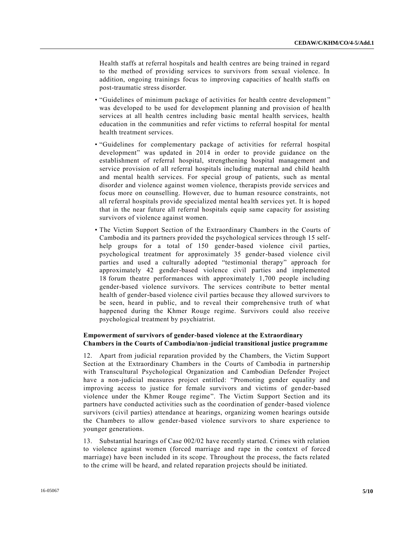Health staffs at referral hospitals and health centres are being trained in regard to the method of providing services to survivors from sexual violence. In addition, ongoing trainings focus to improving capacities of health staffs on post-traumatic stress disorder.

- "Guidelines of minimum package of activities for health centre development " was developed to be used for development planning and provision of health services at all health centres including basic mental health services, health education in the communities and refer victims to referral hospital for mental health treatment services.
- "Guidelines for complementary package of activities for referral hospital development" was updated in 2014 in order to provide guidance on the establishment of referral hospital, strengthening hospital management and service provision of all referral hospitals including maternal and child health and mental health services. For special group of patients, such as mental disorder and violence against women violence, therapists provide services and focus more on counselling. However, due to human resource constraints, not all referral hospitals provide specialized mental health services yet. It is hoped that in the near future all referral hospitals equip same capacity for assisting survivors of violence against women.
- The Victim Support Section of the Extraordinary Chambers in the Courts of Cambodia and its partners provided the psychological services through 15 selfhelp groups for a total of 150 gender-based violence civil parties, psychological treatment for approximately 35 gender-based violence civil parties and used a culturally adopted "testimonial therapy" approach for approximately 42 gender-based violence civil parties and implemented 18 forum theatre performances with approximately 1,700 people including gender-based violence survivors. The services contribute to better mental health of gender-based violence civil parties because they allowed survivors to be seen, heard in public, and to reveal their comprehensive truth of what happened during the Khmer Rouge regime. Survivors could also receive psychological treatment by psychiatrist.

## **Empowerment of survivors of gender-based violence at the Extraordinary Chambers in the Courts of Cambodia/non-judicial transitional justice programme**

12. Apart from judicial reparation provided by the Chambers, the Victim Support Section at the Extraordinary Chambers in the Courts of Cambodia in partnership with Transcultural Psychological Organization and Cambodian Defender Project have a non-judicial measures project entitled: "Promoting gender equality and improving access to justice for female survivors and victims of gender-based violence under the Khmer Rouge regime". The Victim Support Section and its partners have conducted activities such as the coordination of gender-based violence survivors (civil parties) attendance at hearings, organizing women hearings outside the Chambers to allow gender-based violence survivors to share experience to younger generations.

13. Substantial hearings of Case 002/02 have recently started. Crimes with relation to violence against women (forced marriage and rape in the context of force d marriage) have been included in its scope. Throughout the process, the facts related to the crime will be heard, and related reparation projects should be initiated.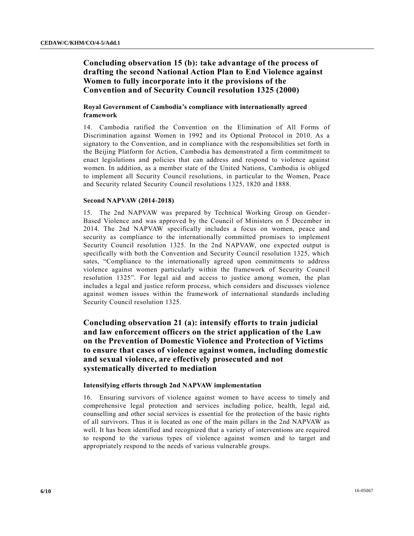# **Concluding observation 15 (b): take advantage of the process of drafting the second National Action Plan to End Violence against Women to fully incorporate into it the provisions of the Convention and of Security Council resolution 1325 (2000)**

## **Royal Government of Cambodia's compliance with internationally agreed framework**

14. Cambodia ratified the Convention on the Elimination of All Forms of Discrimination against Women in 1992 and its Optional Protocol in 2010. As a signatory to the Convention, and in compliance with the responsibilities set forth in the Beijing Platform for Action, Cambodia has demonstrated a firm commitment to enact legislations and policies that can address and respond to violence against women. In addition, as a member state of the United Nations, Cambodia is obliged to implement all Security Council resolutions, in particular to the Women, Peace and Security related Security Council resolutions 1325, 1820 and 1888.

## **Second NAPVAW (2014-2018)**

15. The 2nd NAPVAW was prepared by Technical Working Group on Gender-Based Violence and was approved by the Council of Ministers on 5 December in 2014. The 2nd NAPVAW specifically includes a focus on women, peace and security as compliance to the internationally committed promises to implement Security Council resolution 1325. In the 2nd NAPVAW, one expected output is specifically with both the Convention and Security Council resolution 1325, which sates, "Compliance to the internationally agreed upon commitments to address violence against women particularly within the framework of Security Council resolution 1325". For legal aid and access to justice among women, the plan includes a legal and justice reform process, which considers and discusses violence against women issues within the framework of international standards including Security Council resolution 1325.

# **Concluding observation 21 (a): intensify efforts to train judicial and law enforcement officers on the strict application of the Law on the Prevention of Domestic Violence and Protection of Victims to ensure that cases of violence against women, including domestic and sexual violence, are effectively prosecuted and not systematically diverted to mediation**

#### **Intensifying efforts through 2nd NAPVAW implementation**

16. Ensuring survivors of violence against women to have access to timely and comprehensive legal protection and services including police, health, legal aid, counselling and other social services is essential for the protection of the basic rights of all survivors. Thus it is located as one of the main pillars in the 2nd NAPVAW as well. It has been identified and recognized that a variety of interventions are required to respond to the various types of violence against women and to target and appropriately respond to the needs of various vulnerable groups.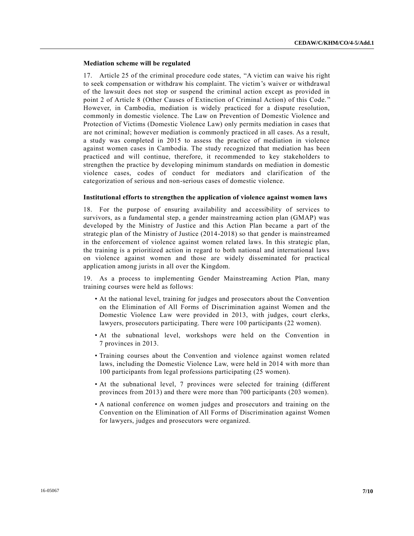#### **Mediation scheme will be regulated**

17. Article 25 of the criminal procedure code states, "A victim can waive his right to seek compensation or withdraw his complaint. The victim's waiver or withdrawal of the lawsuit does not stop or suspend the criminal action except as provided in point 2 of Article 8 (Other Causes of Extinction of Criminal Action) of this Code. " However, in Cambodia, mediation is widely practiced for a dispute resolution, commonly in domestic violence. The Law on Prevention of Domestic Violence and Protection of Victims (Domestic Violence Law) only permits mediation in cases that are not criminal; however mediation is commonly practiced in all cases. As a result, a study was completed in 2015 to assess the practice of mediation in violence against women cases in Cambodia. The study recognized that mediation has been practiced and will continue, therefore, it recommended to key stakeholders to strengthen the practice by developing minimum standards on mediation in domestic violence cases, codes of conduct for mediators and clarification of the categorization of serious and non-serious cases of domestic violence.

#### **Institutional efforts to strengthen the application of violence against women laws**

18. For the purpose of ensuring availability and accessibility of services to survivors, as a fundamental step, a gender mainstreaming action plan (GMAP) was developed by the Ministry of Justice and this Action Plan became a part of the strategic plan of the Ministry of Justice (2014-2018) so that gender is mainstreamed in the enforcement of violence against women related laws. In this strategic plan, the training is a prioritized action in regard to both national and international laws on violence against women and those are widely disseminated for practical application among jurists in all over the Kingdom.

19. As a process to implementing Gender Mainstreaming Action Plan, many training courses were held as follows:

- At the national level, training for judges and prosecutors about the Convention on the Elimination of All Forms of Discrimination against Women and the Domestic Violence Law were provided in 2013, with judges, court clerks, lawyers, prosecutors participating. There were 100 participants (22 women).
- At the subnational level, workshops were held on the Convention in 7 provinces in 2013.
- Training courses about the Convention and violence against women related laws, including the Domestic Violence Law, were held in 2014 with more than 100 participants from legal professions participating (25 women).
- At the subnational level, 7 provinces were selected for training (different provinces from 2013) and there were more than 700 participants (203 women).
- A national conference on women judges and prosecutors and training on the Convention on the Elimination of All Forms of Discrimination against Women for lawyers, judges and prosecutors were organized.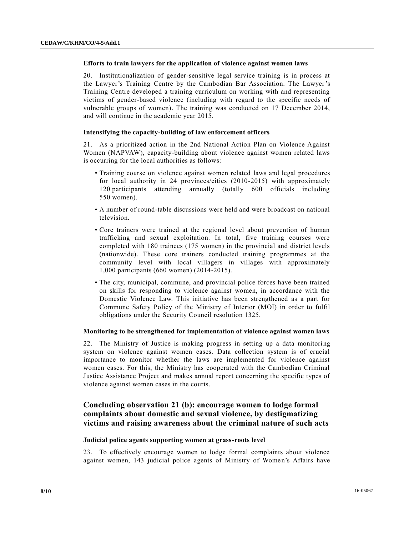## **Efforts to train lawyers for the application of violence against women laws**

20. Institutionalization of gender-sensitive legal service training is in process at the Lawyer's Training Centre by the Cambodian Bar Association. The Lawyer's Training Centre developed a training curriculum on working with and representing victims of gender-based violence (including with regard to the specific needs of vulnerable groups of women). The training was conducted on 17 December 2014, and will continue in the academic year 2015.

#### **Intensifying the capacity-building of law enforcement officers**

21. As a prioritized action in the 2nd National Action Plan on Violence Against Women (NAPVAW), capacity-building about violence against women related laws is occurring for the local authorities as follows:

- Training course on violence against women related laws and legal procedures for local authority in 24 provinces/cities (2010-2015) with approximately 120 participants attending annually (totally 600 officials including 550 women).
- A number of round-table discussions were held and were broadcast on national television.
- Core trainers were trained at the regional level about prevention of human trafficking and sexual exploitation. In total, five training courses were completed with 180 trainees (175 women) in the provincial and district levels (nationwide). These core trainers conducted training programmes at the community level with local villagers in villages with approximately 1,000 participants (660 women) (2014-2015).
- The city, municipal, commune, and provincial police forces have been trained on skills for responding to violence against women, in accordance with the Domestic Violence Law. This initiative has been strengthened as a part for Commune Safety Policy of the Ministry of Interior (MOI) in order to fulfil obligations under the Security Council resolution 1325.

#### **Monitoring to be strengthened for implementation of violence against women laws**

22. The Ministry of Justice is making progress in setting up a data monitoring system on violence against women cases. Data collection system is of crucial importance to monitor whether the laws are implemented for violence against women cases. For this, the Ministry has cooperated with the Cambodian Criminal Justice Assistance Project and makes annual report concerning the specific types of violence against women cases in the courts.

## **Concluding observation 21 (b): encourage women to lodge formal complaints about domestic and sexual violence, by destigmatizing victims and raising awareness about the criminal nature of such acts**

## **Judicial police agents supporting women at grass-roots level**

23. To effectively encourage women to lodge formal complaints about violence against women, 143 judicial police agents of Ministry of Women's Affairs have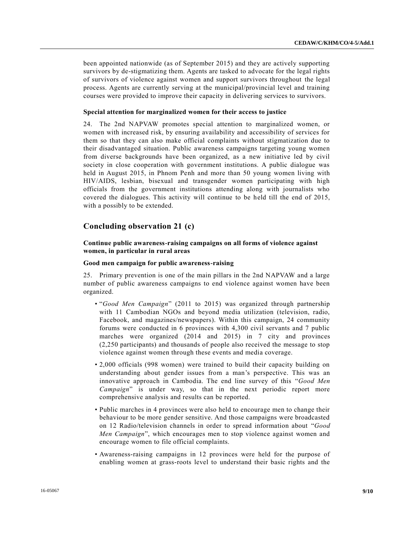been appointed nationwide (as of September 2015) and they are actively supporting survivors by de-stigmatizing them. Agents are tasked to advocate for the legal rights of survivors of violence against women and support survivors throughout the legal process. Agents are currently serving at the municipal/provincial level and training courses were provided to improve their capacity in delivering services to survivors.

#### **Special attention for marginalized women for their access to justice**

24. The 2nd NAPVAW promotes special attention to marginalized women, or women with increased risk, by ensuring availability and accessibility of services for them so that they can also make official complaints without stigmatization due to their disadvantaged situation. Public awareness campaigns targeting young women from diverse backgrounds have been organized, as a new initiative led by civil society in close cooperation with government institutions. A public dialogue was held in August 2015, in Phnom Penh and more than 50 young women living with HIV/AIDS, lesbian, bisexual and transgender women participating with high officials from the government institutions attending along with journalists who covered the dialogues. This activity will continue to be held till the end of 2015, with a possibly to be extended.

## **Concluding observation 21 (c)**

## **Continue public awareness-raising campaigns on all forms of violence against women, in particular in rural areas**

#### **Good men campaign for public awareness-raising**

25. Primary prevention is one of the main pillars in the 2nd NAPVAW and a large number of public awareness campaigns to end violence against women have been organized.

- "*Good Men Campaign*" (2011 to 2015) was organized through partnership with 11 Cambodian NGOs and beyond media utilization (television, radio, Facebook, and magazines/newspapers). Within this campaign, 24 community forums were conducted in 6 provinces with 4,300 civil servants and 7 public marches were organized (2014 and 2015) in 7 city and provinces (2,250 participants) and thousands of people also received the message to stop violence against women through these events and media coverage.
- 2,000 officials (998 women) were trained to build their capacity building on understanding about gender issues from a man's perspective. This was an innovative approach in Cambodia. The end line survey of this "*Good Men Campaign*" is under way, so that in the next periodic report more comprehensive analysis and results can be reported.
- Public marches in 4 provinces were also held to encourage men to change their behaviour to be more gender sensitive. And those campaigns were broadcasted on 12 Radio/television channels in order to spread information about "*Good Men Campaign*", which encourages men to stop violence against women and encourage women to file official complaints.
- Awareness-raising campaigns in 12 provinces were held for the purpose of enabling women at grass-roots level to understand their basic rights and the